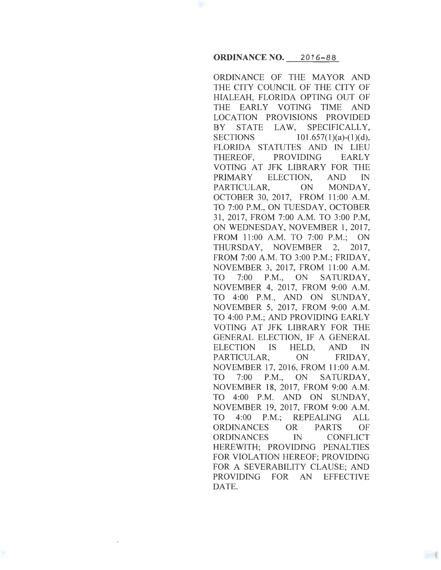## **ORDINANCE NO.** 2016-88

ORDINANCE OF THE MAYOR AND THE CITY COUNCIL OF THE CITY OF HIALEAH, FLORIDA OPTING OUT OF THE EARLY VOTING TIME AND LOCATION PROVISIONS PROVIDED BY STATE LAW, SPECIFICALLY, SECTIONS  $101.657(1)(a)-(1)(d)$ , FLORIDA STATUTES AND IN LIEU THEREOF, PROVIDING EARLY VOTING AT JFK LIBRARY FOR THE PRIMARY ELECTION, AND IN PARTICULAR, ON MONDAY, OCTOBER 30, 2017, FROM 11:00 A.M. TO 7:00 P.M., ON TUESDAY, OCTOBER 31, 2017, FROM 7:00 A.M. TO 3:00 P.M, ON WEDNESDAY, NOVEMBER 1, 2017, FROM 11:00 A.M. TO 7:00 P.M.; ON THURSDAY, NOVEMBER 2, 2017, FROM 7:00A.M. TO 3:00 P.M.; FRIDAY, NOVEMBER 3, 2017, FROM 11:00 A.M. TO 7:00 P.M., ON SATURDAY, NOVEMBER 4, 2017, FROM 9:00 A.M. TO 4:00 P.M., AND ON SUNDAY, NOVEMBER 5, 2017, FROM 9:00 A.M. TO 4:00 P.M.; AND PROVIDING EARLY VOTING AT JFK LIBRARY FOR THE GENERAL ELECTION, IF A GENERAL ELECTION IS HELD, AND IN PARTICULAR, ON FRIDAY, NOVEMBER 17, 2016, FROM 11:00 A.M. TO 7:00 P.M., ON SATURDAY, NOVEMBER 18, 2017, FROM 9:00 A.M. TO 4:00 P.M. AND ON SUNDAY, NOVEMBER 19, 2017, FROM 9:00 A.M. TO 4:00 P.M.; REPEALING ALL ORDINANCES OR PARTS OF ORDINANCES IN CONFLICT HEREWITH; PROVIDING PENALTIES FOR VIOLATION HEREOF; PROVIDING FOR A SEVERABILITY CLAUSE; AND PROVIDING FOR AN EFFECTIVE DATE.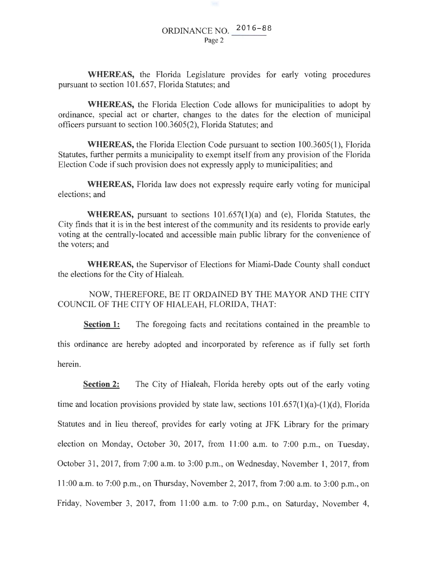**WHEREAS,** the Florida Legislature provides for early voting procedures pursuant to section 101.657, Florida Statutes; and

**WHEREAS,** the Florida Election Code allows for municipalities to adopt by ordinance, special act or charter, changes to the dates for the election of municipal officers pursuant to section 100.3605(2), Florida Statutes; and

**WHEREAS,** the Florida Election Code pursuant to section 100.3605(1), Florida Statutes, further permits a municipality to exempt itself from any provision of the Florida Election Code if such provision does not expressly apply to municipalities; and

**WHEREAS,** Florida law does not expressly require early voting for municipal elections; and

**WHEREAS,** pursuant to sections 101.657(1)(a) and (e), Florida Statutes, the City fmds that it is in the best interest of the community and its residents to provide early voting at the centrally-located and accessible main public library for the convenience of the voters; and

**WHEREAS,** the Supervisor of Elections for Miami-Dade County shall conduct the elections for the City of Hialeah.

NOW, THEREFORE, BE IT ORDAINED BY THE MAYOR AND THE CITY COUNCIL OF THE CITY OF HIALEAH, FLORIDA, THAT:

**Section 1:** The foregoing facts and recitations contained in the preamble to this ordinance are hereby adopted and incorporated by reference as if fully set forth herein.

**Section 2:** The City of Hialeah, Florida hereby opts out of the early voting time and location provisions provided by state law, sections  $101.657(1)(a)-(1)(d)$ , Florida Statutes and in lieu thereof, provides for early voting at JFK Library for the primary election on Monday, October 30, 2017, from 11:00 a.m. to 7:00 p.m., on Tuesday, October 31, 2017, from 7:00 a.m. to 3:00 p.m., on Wednesday, November 1, 2017, from 11:00 a.m. to 7:00 p.m., on Thursday, November 2, 2017, from 7:00 a.m. to 3:00 p.m., on Friday, November 3, 2017, from 11:00 a.m. to 7:00 p.m., on Saturday, November 4,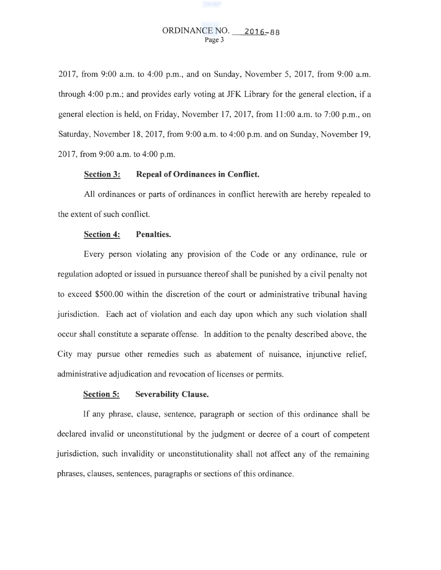# ORDINANCE NO. 2016-88 Page 3

2017, from 9:00 a.m. to 4:00 p.m., and on Sunday, November 5, 2017, from 9:00 a.m. through 4:00 p.m.; and provides early voting at JFK Library for the general election, if a general election is held, on Friday, November 17, 2017, from 11:00 a.m. to 7:00 p.m., on Saturday, November 18, 2017, from 9:00 a.m. to 4:00 p.m. and on Sunday, November 19, 2017, from 9:00 a.m. to 4:00 p.m.

## **Section 3: Repeal of Ordinances in Conflict.**

All ordinances or parts of ordinances in conflict herewith are hereby repealed to the extent of such conflict.

### **Section 4: Penalties.**

Every person violating any provision of the Code or any ordinance, rule or regulation adopted or issued in pursuance thereof shall be punished by a civil penalty not to exceed \$500.00 within the discretion of the court or administrative tribunal having jurisdiction. Each act of violation and each day upon which any such violation shall occur shall constitute a separate offense. In addition to the penalty described above, the City may pursue other remedies such as abatement of nuisance, injunctive relief, administrative adjudication and revocation of licenses or permits.

#### **Section 5: Severability Clause.**

If any phrase, clause, sentence, paragraph or section of this ordinance shall be declared invalid or unconstitutional by the judgment or decree of a court of competent jurisdiction, such invalidity or unconstitutionality shall not affect any of the remaining phrases, clauses, sentences, paragraphs or sections of this ordinance.